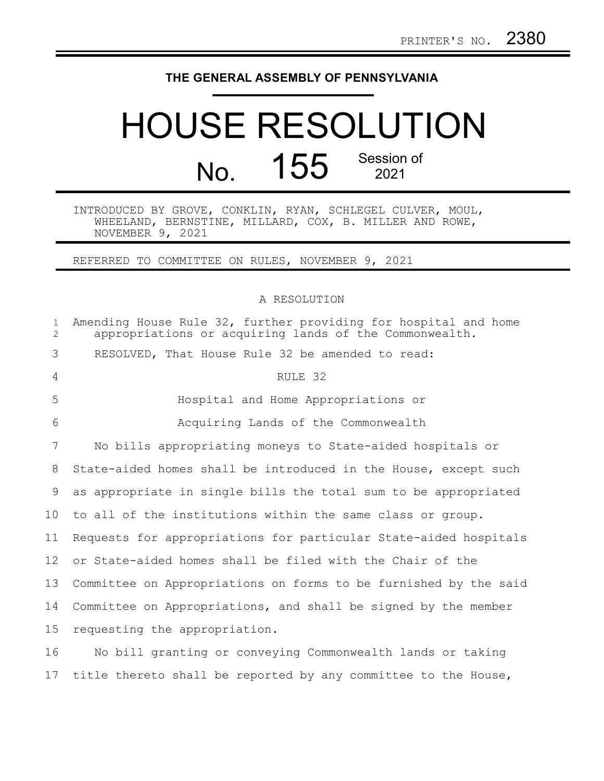## **THE GENERAL ASSEMBLY OF PENNSYLVANIA**

## HOUSE RESOLUTION No. 155 Session of

INTRODUCED BY GROVE, CONKLIN, RYAN, SCHLEGEL CULVER, MOUL, WHEELAND, BERNSTINE, MILLARD, COX, B. MILLER AND ROWE, NOVEMBER 9, 2021

REFERRED TO COMMITTEE ON RULES, NOVEMBER 9, 2021

A RESOLUTION

| $\mathbf{1}$<br>$\overline{2}$ | Amending House Rule 32, further providing for hospital and home<br>appropriations or acquiring lands of the Commonwealth. |
|--------------------------------|---------------------------------------------------------------------------------------------------------------------------|
| 3                              | RESOLVED, That House Rule 32 be amended to read:                                                                          |
| 4                              | RULE 32                                                                                                                   |
| 5                              | Hospital and Home Appropriations or                                                                                       |
| 6                              | Acquiring Lands of the Commonwealth                                                                                       |
| $7\overline{ }$                | No bills appropriating moneys to State-aided hospitals or                                                                 |
| 8                              | State-aided homes shall be introduced in the House, except such                                                           |
| 9                              | as appropriate in single bills the total sum to be appropriated                                                           |
| 10                             | to all of the institutions within the same class or group.                                                                |
| 11                             | Requests for appropriations for particular State-aided hospitals                                                          |
| 12                             | or State-aided homes shall be filed with the Chair of the                                                                 |
| 13                             | Committee on Appropriations on forms to be furnished by the said                                                          |
| 14                             | Committee on Appropriations, and shall be signed by the member                                                            |
| 15                             | requesting the appropriation.                                                                                             |
| 16                             | No bill granting or conveying Commonwealth lands or taking                                                                |
|                                |                                                                                                                           |

17 title thereto shall be reported by any committee to the House,